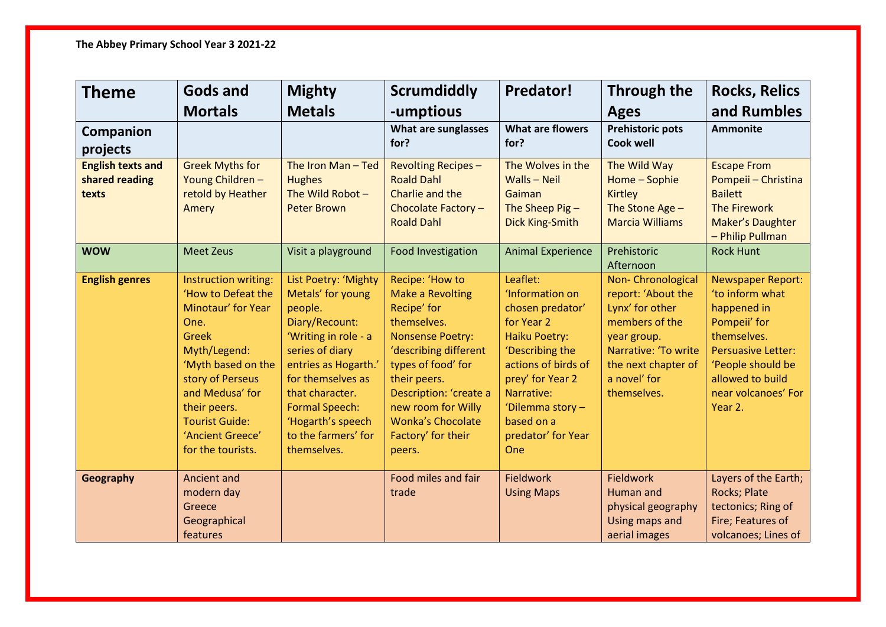| <b>Theme</b>                                        | <b>Gods and</b>                                                                                                                                                                                                                                         | <b>Mighty</b>                                                                                                                                                                                                                                                         | <b>Scrumdiddly</b>                                                                                                                                                                                                                                                             | <b>Predator!</b>                                                                                                                                                                                                         | Through the                                                                                                                                                               | <b>Rocks, Relics</b>                                                                                                                                                                              |
|-----------------------------------------------------|---------------------------------------------------------------------------------------------------------------------------------------------------------------------------------------------------------------------------------------------------------|-----------------------------------------------------------------------------------------------------------------------------------------------------------------------------------------------------------------------------------------------------------------------|--------------------------------------------------------------------------------------------------------------------------------------------------------------------------------------------------------------------------------------------------------------------------------|--------------------------------------------------------------------------------------------------------------------------------------------------------------------------------------------------------------------------|---------------------------------------------------------------------------------------------------------------------------------------------------------------------------|---------------------------------------------------------------------------------------------------------------------------------------------------------------------------------------------------|
|                                                     | <b>Mortals</b>                                                                                                                                                                                                                                          | <b>Metals</b>                                                                                                                                                                                                                                                         | -umptious                                                                                                                                                                                                                                                                      |                                                                                                                                                                                                                          | <b>Ages</b>                                                                                                                                                               | and Rumbles                                                                                                                                                                                       |
| Companion<br>projects                               |                                                                                                                                                                                                                                                         |                                                                                                                                                                                                                                                                       | What are sunglasses<br>for?                                                                                                                                                                                                                                                    | <b>What are flowers</b><br>for?                                                                                                                                                                                          | <b>Prehistoric pots</b><br><b>Cook well</b>                                                                                                                               | <b>Ammonite</b>                                                                                                                                                                                   |
| <b>English texts and</b><br>shared reading<br>texts | <b>Greek Myths for</b><br>Young Children-<br>retold by Heather<br>Amery                                                                                                                                                                                 | The Iron Man-Ted<br><b>Hughes</b><br>The Wild Robot -<br><b>Peter Brown</b>                                                                                                                                                                                           | <b>Revolting Recipes-</b><br><b>Roald Dahl</b><br>Charlie and the<br>Chocolate Factory -<br><b>Roald Dahl</b>                                                                                                                                                                  | The Wolves in the<br>Walls - Neil<br>Gaiman<br>The Sheep Pig-<br>Dick King-Smith                                                                                                                                         | The Wild Way<br>Home - Sophie<br><b>Kirtley</b><br>The Stone Age -<br><b>Marcia Williams</b>                                                                              | <b>Escape From</b><br>Pompeii - Christina<br><b>Bailett</b><br><b>The Firework</b><br>Maker's Daughter<br>- Philip Pullman                                                                        |
| <b>WOW</b>                                          | <b>Meet Zeus</b>                                                                                                                                                                                                                                        | Visit a playground                                                                                                                                                                                                                                                    | Food Investigation                                                                                                                                                                                                                                                             | <b>Animal Experience</b>                                                                                                                                                                                                 | Prehistoric<br>Afternoon                                                                                                                                                  | <b>Rock Hunt</b>                                                                                                                                                                                  |
| <b>English genres</b>                               | Instruction writing:<br>'How to Defeat the<br>Minotaur' for Year<br>One.<br><b>Greek</b><br>Myth/Legend:<br>'Myth based on the<br>story of Perseus<br>and Medusa' for<br>their peers.<br><b>Tourist Guide:</b><br>'Ancient Greece'<br>for the tourists. | List Poetry: 'Mighty<br>Metals' for young<br>people.<br>Diary/Recount:<br>'Writing in role - a<br>series of diary<br>entries as Hogarth.'<br>for themselves as<br>that character.<br><b>Formal Speech:</b><br>'Hogarth's speech<br>to the farmers' for<br>themselves. | Recipe: 'How to<br><b>Make a Revolting</b><br>Recipe' for<br>themselves.<br><b>Nonsense Poetry:</b><br>'describing different<br>types of food' for<br>their peers.<br>Description: 'create a<br>new room for Willy<br><b>Wonka's Chocolate</b><br>Factory' for their<br>peers. | Leaflet:<br>'Information on<br>chosen predator'<br>for Year 2<br>Haiku Poetry:<br>'Describing the<br>actions of birds of<br>prey' for Year 2<br>Narrative:<br>'Dilemma story-<br>based on a<br>predator' for Year<br>One | Non-Chronological<br>report: 'About the<br>Lynx' for other<br>members of the<br>year group.<br>Narrative: 'To write<br>the next chapter of<br>a novel' for<br>themselves. | <b>Newspaper Report:</b><br>'to inform what<br>happened in<br>Pompeii' for<br>themselves.<br><b>Persuasive Letter:</b><br>'People should be<br>allowed to build<br>near volcanoes' For<br>Year 2. |
| Geography                                           | <b>Ancient and</b><br>modern day<br>Greece<br>Geographical<br>features                                                                                                                                                                                  |                                                                                                                                                                                                                                                                       | Food miles and fair<br>trade                                                                                                                                                                                                                                                   | <b>Fieldwork</b><br><b>Using Maps</b>                                                                                                                                                                                    | <b>Fieldwork</b><br>Human and<br>physical geography<br>Using maps and<br>aerial images                                                                                    | Layers of the Earth;<br>Rocks; Plate<br>tectonics; Ring of<br>Fire; Features of<br>volcanoes; Lines of                                                                                            |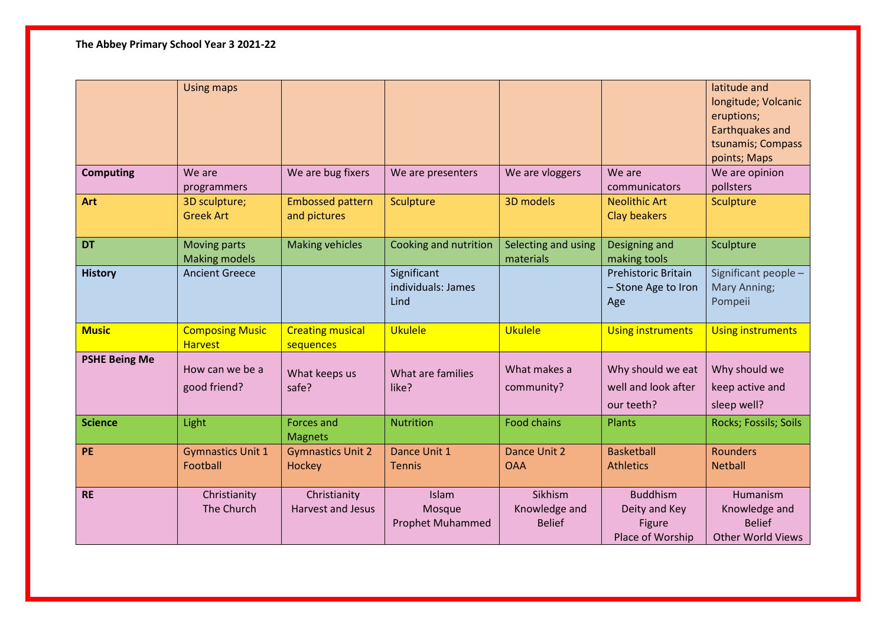**The Abbey Primary School Year 3 2021-22**

|                      | <b>Using maps</b>                           |                                          |                                                   |                                           |                                                                       | latitude and<br>longitude; Volcanic<br>eruptions;<br>Earthquakes and<br>tsunamis; Compass<br>points; Maps |
|----------------------|---------------------------------------------|------------------------------------------|---------------------------------------------------|-------------------------------------------|-----------------------------------------------------------------------|-----------------------------------------------------------------------------------------------------------|
| <b>Computing</b>     | We are<br>programmers                       | We are bug fixers                        | We are presenters                                 | We are vloggers                           | We are<br>communicators                                               | We are opinion<br>pollsters                                                                               |
| <b>Art</b>           | 3D sculpture;<br><b>Greek Art</b>           | <b>Embossed pattern</b><br>and pictures  | Sculpture                                         | 3D models                                 | <b>Neolithic Art</b><br><b>Clay beakers</b>                           | Sculpture                                                                                                 |
| <b>DT</b>            | <b>Moving parts</b><br><b>Making models</b> | <b>Making vehicles</b>                   | Cooking and nutrition                             | Selecting and using<br>materials          | Designing and<br>making tools                                         | Sculpture                                                                                                 |
| <b>History</b>       | <b>Ancient Greece</b>                       |                                          | Significant<br>individuals: James<br>Lind         |                                           | <b>Prehistoric Britain</b><br>- Stone Age to Iron<br>Age              | Significant people -<br>Mary Anning;<br>Pompeii                                                           |
| <b>Music</b>         | <b>Composing Music</b><br><b>Harvest</b>    | <b>Creating musical</b><br>sequences     | <b>Ukulele</b>                                    | <b>Ukulele</b>                            | <b>Using instruments</b>                                              | <b>Using instruments</b>                                                                                  |
| <b>PSHE Being Me</b> | How can we be a<br>good friend?             | What keeps us<br>safe?                   | What are families<br>like?                        | What makes a<br>community?                | Why should we eat<br>well and look after<br>our teeth?                | Why should we<br>keep active and<br>sleep well?                                                           |
| <b>Science</b>       | Light                                       | Forces and<br><b>Magnets</b>             | <b>Nutrition</b>                                  | <b>Food chains</b>                        | Plants                                                                | Rocks; Fossils; Soils                                                                                     |
| <b>PE</b>            | <b>Gymnastics Unit 1</b><br>Football        | <b>Gymnastics Unit 2</b><br>Hockey       | Dance Unit 1<br><b>Tennis</b>                     | Dance Unit 2<br><b>OAA</b>                | <b>Basketball</b><br><b>Athletics</b>                                 | <b>Rounders</b><br><b>Netball</b>                                                                         |
| <b>RE</b>            | Christianity<br>The Church                  | Christianity<br><b>Harvest and Jesus</b> | <b>Islam</b><br>Mosque<br><b>Prophet Muhammed</b> | Sikhism<br>Knowledge and<br><b>Belief</b> | <b>Buddhism</b><br>Deity and Key<br><b>Figure</b><br>Place of Worship | Humanism<br>Knowledge and<br><b>Belief</b><br><b>Other World Views</b>                                    |